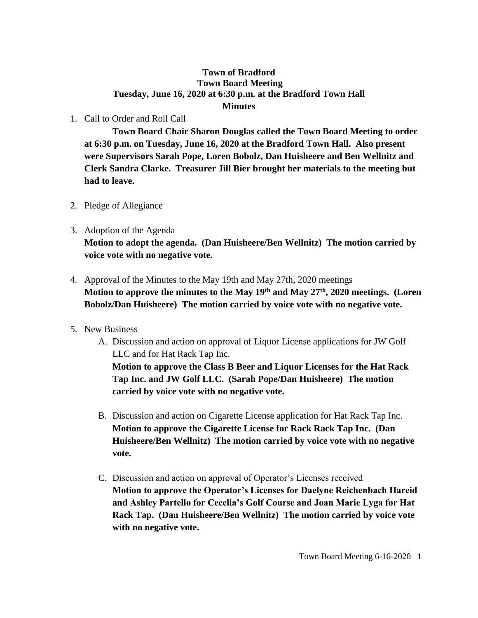## **Town of Bradford Town Board Meeting Tuesday, June 16, 2020 at 6:30 p.m. at the Bradford Town Hall Minutes**

1. Call to Order and Roll Call

**Town Board Chair Sharon Douglas called the Town Board Meeting to order at 6:30 p.m. on Tuesday, June 16, 2020 at the Bradford Town Hall. Also present were Supervisors Sarah Pope, Loren Bobolz, Dan Huisheere and Ben Wellnitz and Clerk Sandra Clarke. Treasurer Jill Bier brought her materials to the meeting but had to leave.**

- 2. Pledge of Allegiance
- 3. Adoption of the Agenda **Motion to adopt the agenda. (Dan Huisheere/Ben Wellnitz) The motion carried by voice vote with no negative vote.**
- 4. Approval of the Minutes to the May 19th and May 27th, 2020 meetings **Motion to approve the minutes to the May 19th and May 27th, 2020 meetings. (Loren Bobolz/Dan Huisheere) The motion carried by voice vote with no negative vote.**
- 5. New Business
	- A. Discussion and action on approval of Liquor License applications for JW Golf LLC and for Hat Rack Tap Inc.

**Motion to approve the Class B Beer and Liquor Licenses for the Hat Rack Tap Inc. and JW Golf LLC. (Sarah Pope/Dan Huisheere) The motion carried by voice vote with no negative vote.**

- B. Discussion and action on Cigarette License application for Hat Rack Tap Inc. **Motion to approve the Cigarette License for Rack Rack Tap Inc. (Dan Huisheere/Ben Wellnitz) The motion carried by voice vote with no negative vote.**
- C. Discussion and action on approval of Operator's Licenses received **Motion to approve the Operator's Licenses for Daelyne Reichenbach Hareid and Ashley Partello for Cecelia's Golf Course and Joan Marie Lyga for Hat Rack Tap. (Dan Huisheere/Ben Wellnitz) The motion carried by voice vote with no negative vote.**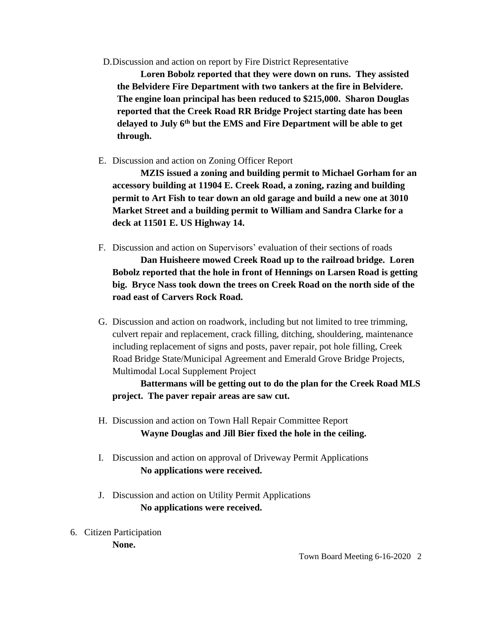D.Discussion and action on report by Fire District Representative

**Loren Bobolz reported that they were down on runs. They assisted the Belvidere Fire Department with two tankers at the fire in Belvidere. The engine loan principal has been reduced to \$215,000. Sharon Douglas reported that the Creek Road RR Bridge Project starting date has been delayed to July 6th but the EMS and Fire Department will be able to get through.**

E. Discussion and action on Zoning Officer Report

**MZIS issued a zoning and building permit to Michael Gorham for an accessory building at 11904 E. Creek Road, a zoning, razing and building permit to Art Fish to tear down an old garage and build a new one at 3010 Market Street and a building permit to William and Sandra Clarke for a deck at 11501 E. US Highway 14.**

F. Discussion and action on Supervisors' evaluation of their sections of roads

**Dan Huisheere mowed Creek Road up to the railroad bridge. Loren Bobolz reported that the hole in front of Hennings on Larsen Road is getting big. Bryce Nass took down the trees on Creek Road on the north side of the road east of Carvers Rock Road.** 

G. Discussion and action on roadwork, including but not limited to tree trimming, culvert repair and replacement, crack filling, ditching, shouldering, maintenance including replacement of signs and posts, paver repair, pot hole filling, Creek Road Bridge State/Municipal Agreement and Emerald Grove Bridge Projects, Multimodal Local Supplement Project

**Battermans will be getting out to do the plan for the Creek Road MLS project. The paver repair areas are saw cut.**

- H. Discussion and action on Town Hall Repair Committee Report **Wayne Douglas and Jill Bier fixed the hole in the ceiling.**
- I. Discussion and action on approval of Driveway Permit Applications **No applications were received.**
- J. Discussion and action on Utility Permit Applications **No applications were received.**
- 6. Citizen Participation **None.**